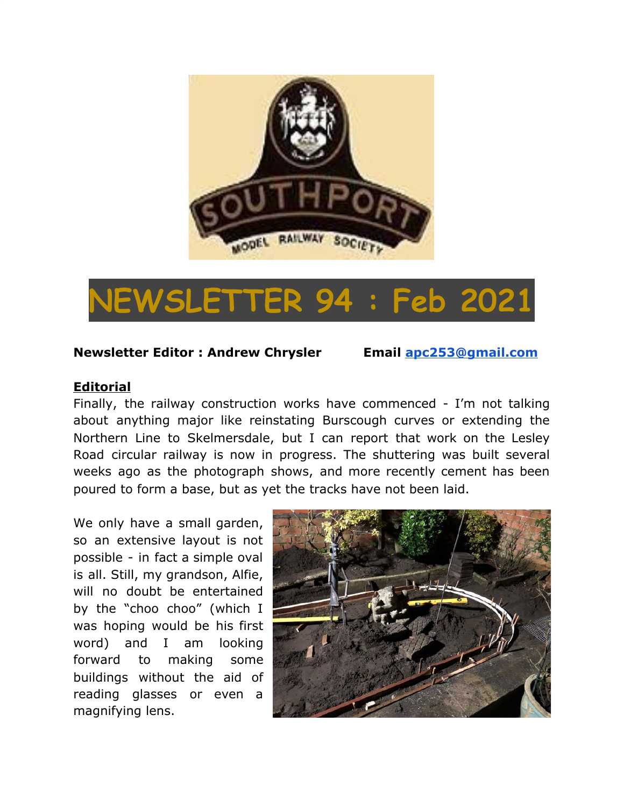

# **NEWSLETTER 94 : Feb 2021**

### **Newsletter Editor : Andrew Chrysler Email [apc253@gmail.com](mailto:apc253@gmail.com)**

#### **Editorial**

Finally, the railway construction works have commenced - I'm not talking about anything major like reinstating Burscough curves or extending the Northern Line to Skelmersdale, but I can report that work on the Lesley Road circular railway is now in progress. The shuttering was built several weeks ago as the photograph shows, and more recently cement has been poured to form a base, but as yet the tracks have not been laid.

We only have a small garden, so an extensive layout is not possible - in fact a simple oval is all. Still, my grandson, Alfie, will no doubt be entertained by the "choo choo" (which I was hoping would be his first word) and I am looking forward to making some buildings without the aid of reading glasses or even a magnifying lens.

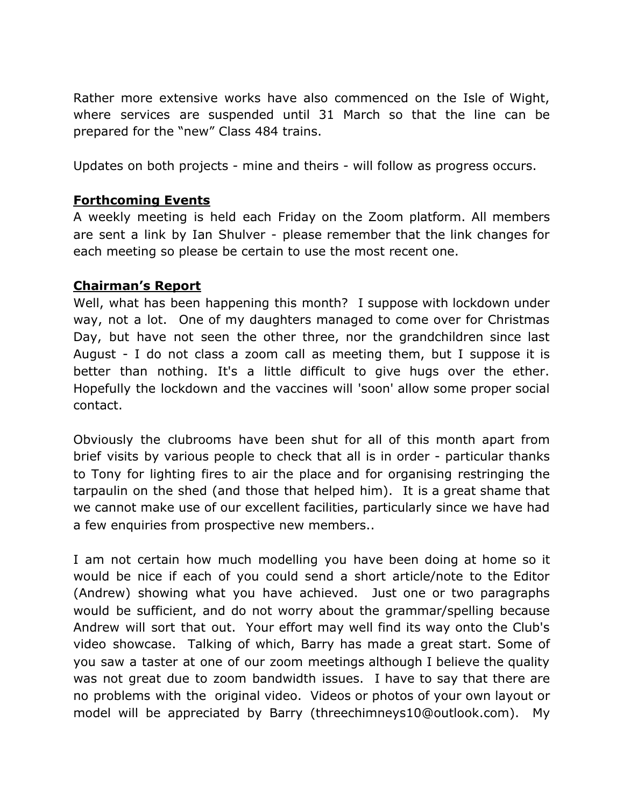Rather more extensive works have also commenced on the Isle of Wight, where services are suspended until 31 March so that the line can be prepared for the "new" Class 484 trains.

Updates on both projects - mine and theirs - will follow as progress occurs.

## **Forthcoming Events**

A weekly meeting is held each Friday on the Zoom platform. All members are sent a link by Ian Shulver - please remember that the link changes for each meeting so please be certain to use the most recent one.

### **Chairman's Report**

Well, what has been happening this month? I suppose with lockdown under way, not a lot. One of my daughters managed to come over for Christmas Day, but have not seen the other three, nor the grandchildren since last August - I do not class a zoom call as meeting them, but I suppose it is better than nothing. It's a little difficult to give hugs over the ether. Hopefully the lockdown and the vaccines will 'soon' allow some proper social contact.

Obviously the clubrooms have been shut for all of this month apart from brief visits by various people to check that all is in order - particular thanks to Tony for lighting fires to air the place and for organising restringing the tarpaulin on the shed (and those that helped him). It is a great shame that we cannot make use of our excellent facilities, particularly since we have had a few enquiries from prospective new members..

I am not certain how much modelling you have been doing at home so it would be nice if each of you could send a short article/note to the Editor (Andrew) showing what you have achieved. Just one or two paragraphs would be sufficient, and do not worry about the grammar/spelling because Andrew will sort that out. Your effort may well find its way onto the Club's video showcase. Talking of which, Barry has made a great start. Some of you saw a taster at one of our zoom meetings although I believe the quality was not great due to zoom bandwidth issues. I have to say that there are no problems with the original video. Videos or photos of your own layout or model will be appreciated by Barry (threechimneys10@outlook.com). My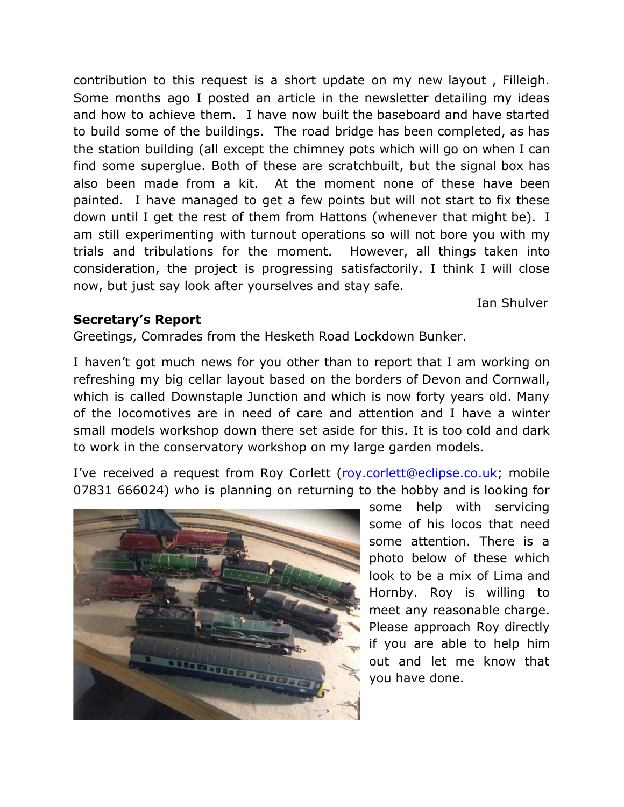contribution to this request is a short update on my new layout , Filleigh. Some months ago I posted an article in the newsletter detailing my ideas and how to achieve them. I have now built the baseboard and have started to build some of the buildings. The road bridge has been completed, as has the station building (all except the chimney pots which will go on when I can find some superglue. Both of these are scratchbuilt, but the signal box has also been made from a kit. At the moment none of these have been painted. I have managed to get a few points but will not start to fix these down until I get the rest of them from Hattons (whenever that might be). I am still experimenting with turnout operations so will not bore you with my trials and tribulations for the moment. However, all things taken into consideration, the project is progressing satisfactorily. I think I will close now, but just say look after yourselves and stay safe.

Ian Shulver

# **Secretary's Report**

Greetings, Comrades from the Hesketh Road Lockdown Bunker.

I haven't got much news for you other than to report that I am working on refreshing my big cellar layout based on the borders of Devon and Cornwall, which is called Downstaple Junction and which is now forty years old. Many of the locomotives are in need of care and attention and I have a winter small models workshop down there set aside for this. It is too cold and dark to work in the conservatory workshop on my large garden models.

I've received a request from Roy Corlett (roy.corlett@eclipse.co.uk; mobile 07831 666024) who is planning on returning to the hobby and is looking for



some help with servicing some of his locos that need some attention. There is a photo below of these which look to be a mix of Lima and Hornby. Roy is willing to meet any reasonable charge. Please approach Roy directly if you are able to help him out and let me know that you have done.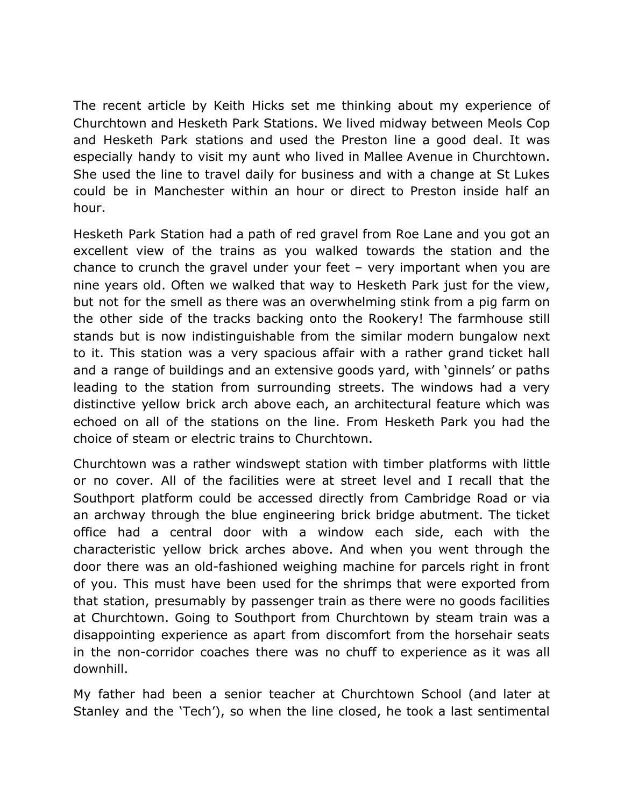The recent article by Keith Hicks set me thinking about my experience of Churchtown and Hesketh Park Stations. We lived midway between Meols Cop and Hesketh Park stations and used the Preston line a good deal. It was especially handy to visit my aunt who lived in Mallee Avenue in Churchtown. She used the line to travel daily for business and with a change at St Lukes could be in Manchester within an hour or direct to Preston inside half an hour.

Hesketh Park Station had a path of red gravel from Roe Lane and you got an excellent view of the trains as you walked towards the station and the chance to crunch the gravel under your feet – very important when you are nine years old. Often we walked that way to Hesketh Park just for the view, but not for the smell as there was an overwhelming stink from a pig farm on the other side of the tracks backing onto the Rookery! The farmhouse still stands but is now indistinguishable from the similar modern bungalow next to it. This station was a very spacious affair with a rather grand ticket hall and a range of buildings and an extensive goods yard, with 'ginnels' or paths leading to the station from surrounding streets. The windows had a very distinctive yellow brick arch above each, an architectural feature which was echoed on all of the stations on the line. From Hesketh Park you had the choice of steam or electric trains to Churchtown.

Churchtown was a rather windswept station with timber platforms with little or no cover. All of the facilities were at street level and I recall that the Southport platform could be accessed directly from Cambridge Road or via an archway through the blue engineering brick bridge abutment. The ticket office had a central door with a window each side, each with the characteristic yellow brick arches above. And when you went through the door there was an old-fashioned weighing machine for parcels right in front of you. This must have been used for the shrimps that were exported from that station, presumably by passenger train as there were no goods facilities at Churchtown. Going to Southport from Churchtown by steam train was a disappointing experience as apart from discomfort from the horsehair seats in the non-corridor coaches there was no chuff to experience as it was all downhill.

My father had been a senior teacher at Churchtown School (and later at Stanley and the 'Tech'), so when the line closed, he took a last sentimental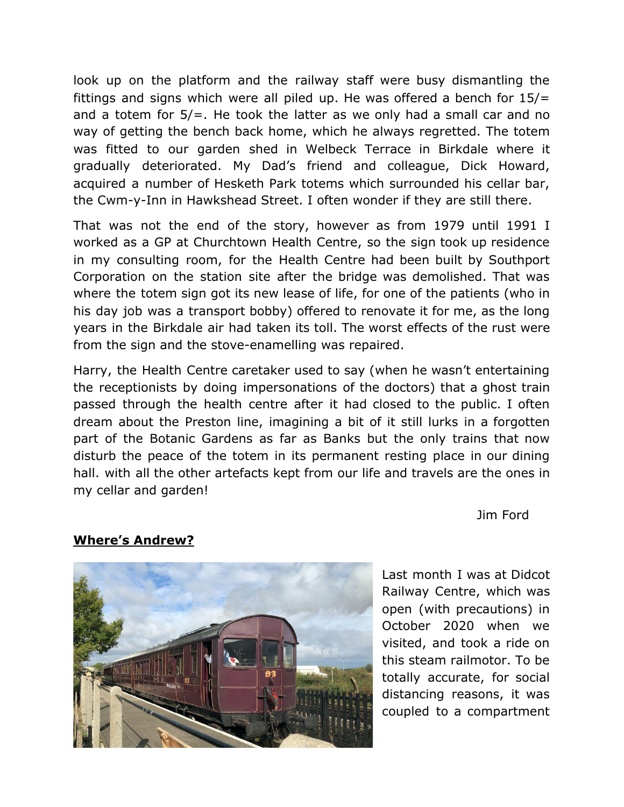look up on the platform and the railway staff were busy dismantling the fittings and signs which were all piled up. He was offered a bench for  $15/=\frac{15}{5}$ and a totem for 5/=. He took the latter as we only had a small car and no way of getting the bench back home, which he always regretted. The totem was fitted to our garden shed in Welbeck Terrace in Birkdale where it gradually deteriorated. My Dad's friend and colleague, Dick Howard, acquired a number of Hesketh Park totems which surrounded his cellar bar, the Cwm-y-Inn in Hawkshead Street. I often wonder if they are still there.

That was not the end of the story, however as from 1979 until 1991 I worked as a GP at Churchtown Health Centre, so the sign took up residence in my consulting room, for the Health Centre had been built by Southport Corporation on the station site after the bridge was demolished. That was where the totem sign got its new lease of life, for one of the patients (who in his day job was a transport bobby) offered to renovate it for me, as the long years in the Birkdale air had taken its toll. The worst effects of the rust were from the sign and the stove-enamelling was repaired.

Harry, the Health Centre caretaker used to say (when he wasn't entertaining the receptionists by doing impersonations of the doctors) that a ghost train passed through the health centre after it had closed to the public. I often dream about the Preston line, imagining a bit of it still lurks in a forgotten part of the Botanic Gardens as far as Banks but the only trains that now disturb the peace of the totem in its permanent resting place in our dining hall. with all the other artefacts kept from our life and travels are the ones in my cellar and garden!

Jim Ford

### **Where's Andrew?**



Last month I was at Didcot Railway Centre, which was open (with precautions) in October 2020 when we visited, and took a ride on this steam railmotor. To be totally accurate, for social distancing reasons, it was coupled to a compartment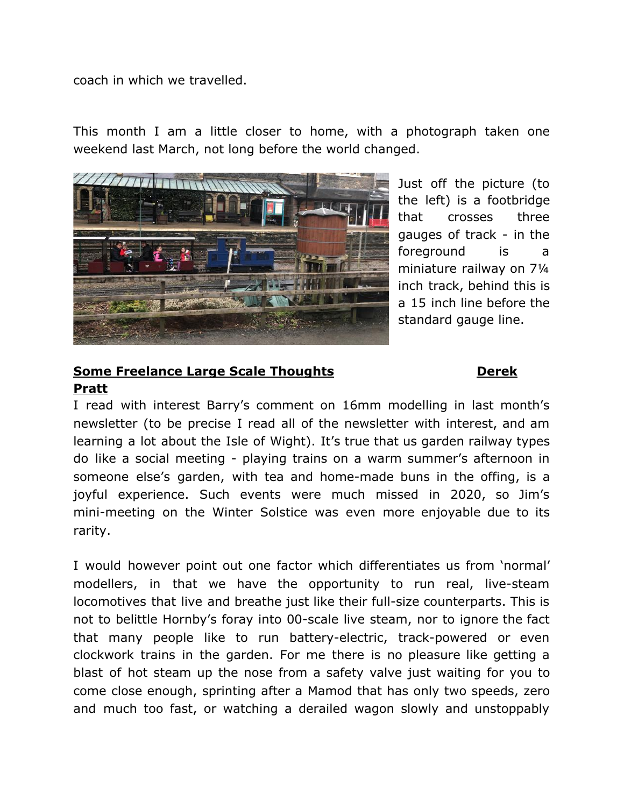coach in which we travelled.

This month I am a little closer to home, with a photograph taken one weekend last March, not long before the world changed.



Just off the picture (to the left) is a footbridge that crosses three gauges of track - in the foreground is a miniature railway on 7¼ inch track, behind this is a 15 inch line before the standard gauge line.

# **Some Freelance Large Scale Thoughts <b>Dealers Dealers Dealer Pratt**

I read with interest Barry's comment on 16mm modelling in last month's newsletter (to be precise I read all of the newsletter with interest, and am learning a lot about the Isle of Wight). It's true that us garden railway types do like a social meeting - playing trains on a warm summer's afternoon in someone else's garden, with tea and home-made buns in the offing, is a joyful experience. Such events were much missed in 2020, so Jim's mini-meeting on the Winter Solstice was even more enjoyable due to its rarity.

I would however point out one factor which differentiates us from 'normal' modellers, in that we have the opportunity to run real, live-steam locomotives that live and breathe just like their full-size counterparts. This is not to belittle Hornby's foray into 00-scale live steam, nor to ignore the fact that many people like to run battery-electric, track-powered or even clockwork trains in the garden. For me there is no pleasure like getting a blast of hot steam up the nose from a safety valve just waiting for you to come close enough, sprinting after a Mamod that has only two speeds, zero and much too fast, or watching a derailed wagon slowly and unstoppably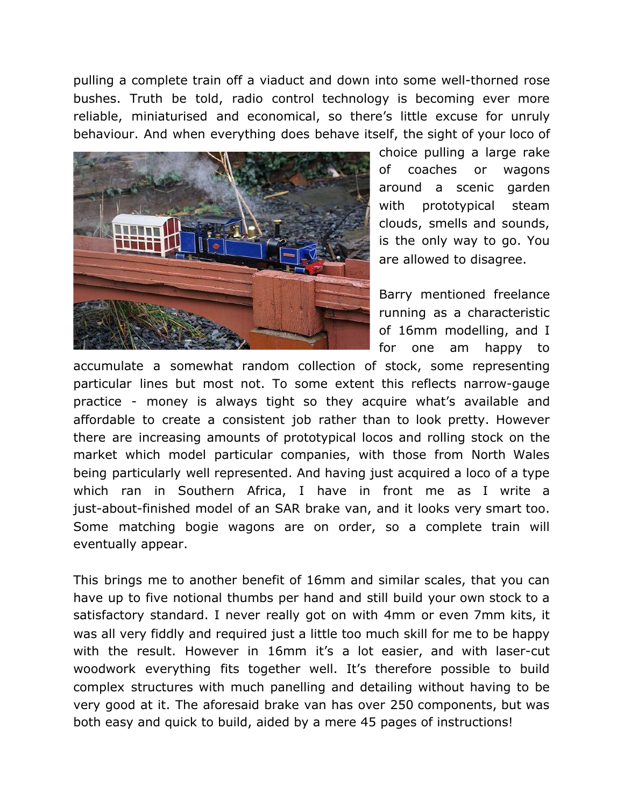pulling a complete train off a viaduct and down into some well-thorned rose bushes. Truth be told, radio control technology is becoming ever more reliable, miniaturised and economical, so there's little excuse for unruly behaviour. And when everything does behave itself, the sight of your loco of



choice pulling a large rake of coaches or wagons around a scenic garden with prototypical steam clouds, smells and sounds, is the only way to go. You are allowed to disagree.

Barry mentioned freelance running as a characteristic of 16mm modelling, and I for one am happy to

accumulate a somewhat random collection of stock, some representing particular lines but most not. To some extent this reflects narrow-gauge practice - money is always tight so they acquire what's available and affordable to create a consistent job rather than to look pretty. However there are increasing amounts of prototypical locos and rolling stock on the market which model particular companies, with those from North Wales being particularly well represented. And having just acquired a loco of a type which ran in Southern Africa, I have in front me as I write a just-about-finished model of an SAR brake van, and it looks very smart too. Some matching bogie wagons are on order, so a complete train will eventually appear.

This brings me to another benefit of 16mm and similar scales, that you can have up to five notional thumbs per hand and still build your own stock to a satisfactory standard. I never really got on with 4mm or even 7mm kits, it was all very fiddly and required just a little too much skill for me to be happy with the result. However in 16mm it's a lot easier, and with laser-cut woodwork everything fits together well. It's therefore possible to build complex structures with much panelling and detailing without having to be very good at it. The aforesaid brake van has over 250 components, but was both easy and quick to build, aided by a mere 45 pages of instructions!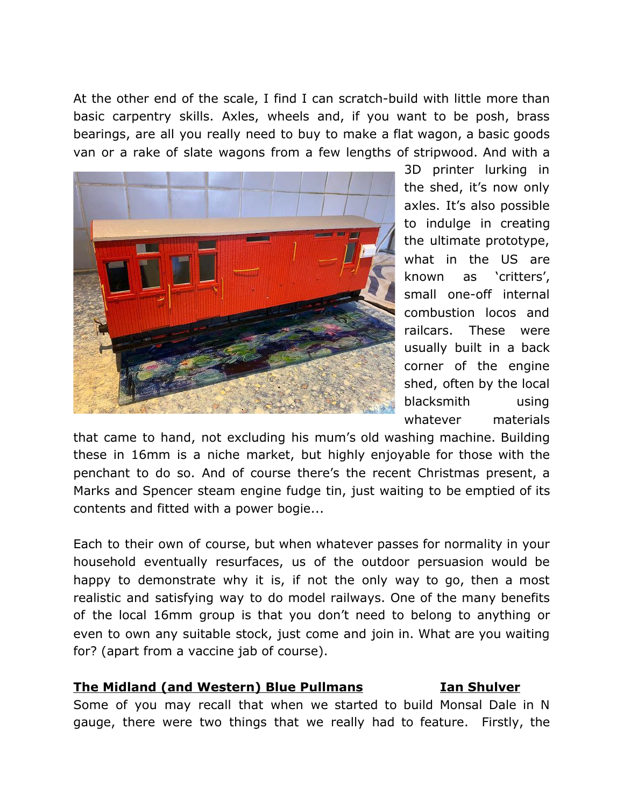At the other end of the scale, I find I can scratch-build with little more than basic carpentry skills. Axles, wheels and, if you want to be posh, brass bearings, are all you really need to buy to make a flat wagon, a basic goods van or a rake of slate wagons from a few lengths of stripwood. And with a



3D printer lurking in the shed, it's now only axles. It's also possible to indulge in creating the ultimate prototype, what in the US are known as 'critters', small one-off internal combustion locos and railcars. These were usually built in a back corner of the engine shed, often by the local blacksmith using whatever materials

that came to hand, not excluding his mum's old washing machine. Building these in 16mm is a niche market, but highly enjoyable for those with the penchant to do so. And of course there's the recent Christmas present, a Marks and Spencer steam engine fudge tin, just waiting to be emptied of its contents and fitted with a power bogie...

Each to their own of course, but when whatever passes for normality in your household eventually resurfaces, us of the outdoor persuasion would be happy to demonstrate why it is, if not the only way to go, then a most realistic and satisfying way to do model railways. One of the many benefits of the local 16mm group is that you don't need to belong to anything or even to own any suitable stock, just come and join in. What are you waiting for? (apart from a vaccine jab of course).

### **The Midland (and Western) Blue Pullmans Ian Shulver**

Some of you may recall that when we started to build Monsal Dale in N gauge, there were two things that we really had to feature. Firstly, the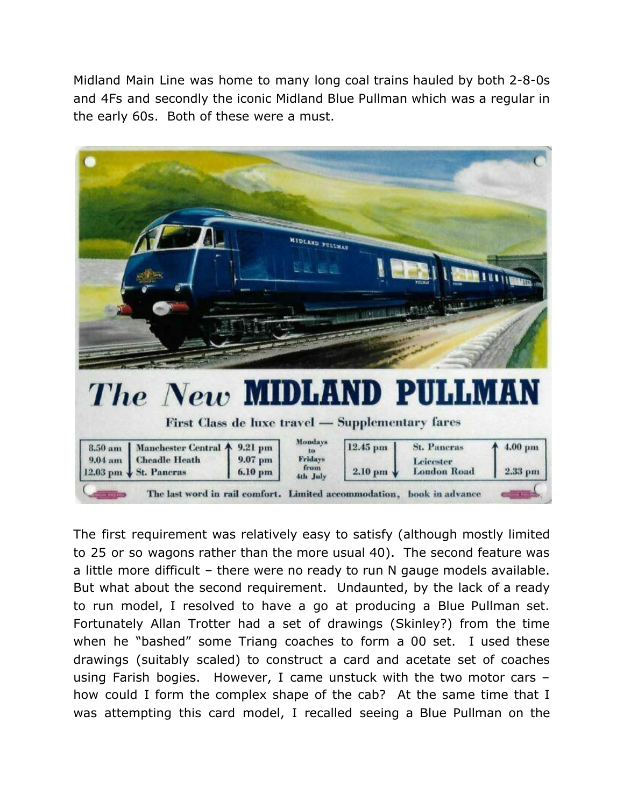Midland Main Line was home to many long coal trains hauled by both 2-8-0s and 4Fs and secondly the iconic Midland Blue Pullman which was a regular in the early 60s. Both of these were a must.



The first requirement was relatively easy to satisfy (although mostly limited to 25 or so wagons rather than the more usual 40). The second feature was a little more difficult – there were no ready to run N gauge models available. But what about the second requirement. Undaunted, by the lack of a ready to run model, I resolved to have a go at producing a Blue Pullman set. Fortunately Allan Trotter had a set of drawings (Skinley?) from the time when he "bashed" some Triang coaches to form a 00 set. I used these drawings (suitably scaled) to construct a card and acetate set of coaches using Farish bogies. However, I came unstuck with the two motor cars – how could I form the complex shape of the cab? At the same time that I was attempting this card model, I recalled seeing a Blue Pullman on the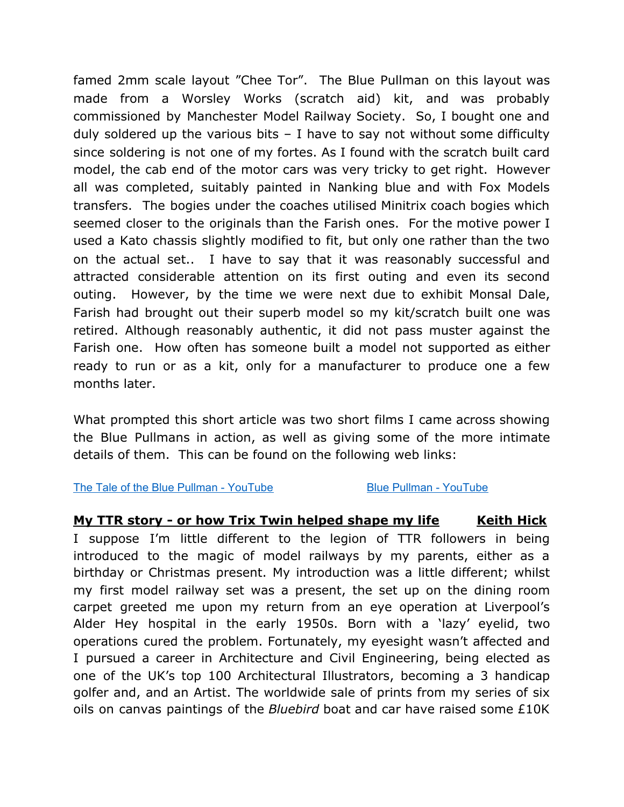famed 2mm scale layout "Chee Tor". The Blue Pullman on this layout was made from a Worsley Works (scratch aid) kit, and was probably commissioned by Manchester Model Railway Society. So, I bought one and duly soldered up the various bits  $-$  I have to say not without some difficulty since soldering is not one of my fortes. As I found with the scratch built card model, the cab end of the motor cars was very tricky to get right. However all was completed, suitably painted in Nanking blue and with Fox Models transfers. The bogies under the coaches utilised Minitrix coach bogies which seemed closer to the originals than the Farish ones. For the motive power I used a Kato chassis slightly modified to fit, but only one rather than the two on the actual set.. I have to say that it was reasonably successful and attracted considerable attention on its first outing and even its second outing. However, by the time we were next due to exhibit Monsal Dale, Farish had brought out their superb model so my kit/scratch built one was retired. Although reasonably authentic, it did not pass muster against the Farish one. How often has someone built a model not supported as either ready to run or as a kit, only for a manufacturer to produce one a few months later.

What prompted this short article was two short films I came across showing the Blue Pullmans in action, as well as giving some of the more intimate details of them. This can be found on the following web links:

The Tale of the Blue Pullman - [YouTube](https://www.youtube.com/watch?v=FJ-NOmN3TkE) Blue Pullman - YouTube

# **My TTR story - or how Trix Twin helped shape my life Keith Hick** I suppose I'm little different to the legion of TTR followers in being introduced to the magic of model railways by my parents, either as a birthday or Christmas present. My introduction was a little different; whilst my first model railway set was a present, the set up on the dining room carpet greeted me upon my return from an eye operation at Liverpool's Alder Hey hospital in the early 1950s. Born with a 'lazy' eyelid, two operations cured the problem. Fortunately, my eyesight wasn't affected and I pursued a career in Architecture and Civil Engineering, being elected as one of the UK's top 100 Architectural Illustrators, becoming a 3 handicap golfer and, and an Artist. The worldwide sale of prints from my series of six

oils on canvas paintings of the *Bluebird* boat and car have raised some £10K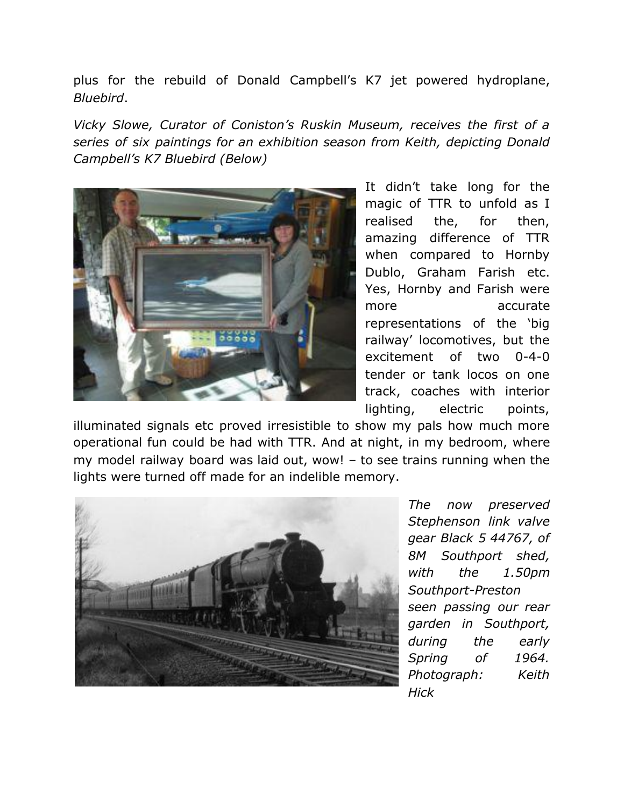plus for the rebuild of Donald Campbell's K7 jet powered hydroplane, *Bluebird*.

*Vicky Slowe, Curator of Coniston's Ruskin Museum, receives the first of a series of six paintings for an exhibition season from Keith, depicting Donald Campbell's K7 Bluebird (Below)*



It didn't take long for the magic of TTR to unfold as I realised the, for then, amazing difference of TTR when compared to Hornby Dublo, Graham Farish etc. Yes, Hornby and Farish were more accurate representations of the 'big railway' locomotives, but the excitement of two 0-4-0 tender or tank locos on one track, coaches with interior lighting, electric points,

illuminated signals etc proved irresistible to show my pals how much more operational fun could be had with TTR. And at night, in my bedroom, where my model railway board was laid out, wow! – to see trains running when the lights were turned off made for an indelible memory.



*The now preserved Stephenson link valve gear Black 5 44767, of 8M Southport shed, with the 1.50pm Southport-Preston seen passing our rear garden in Southport, during the early Spring of 1964. Photograph: Keith Hick*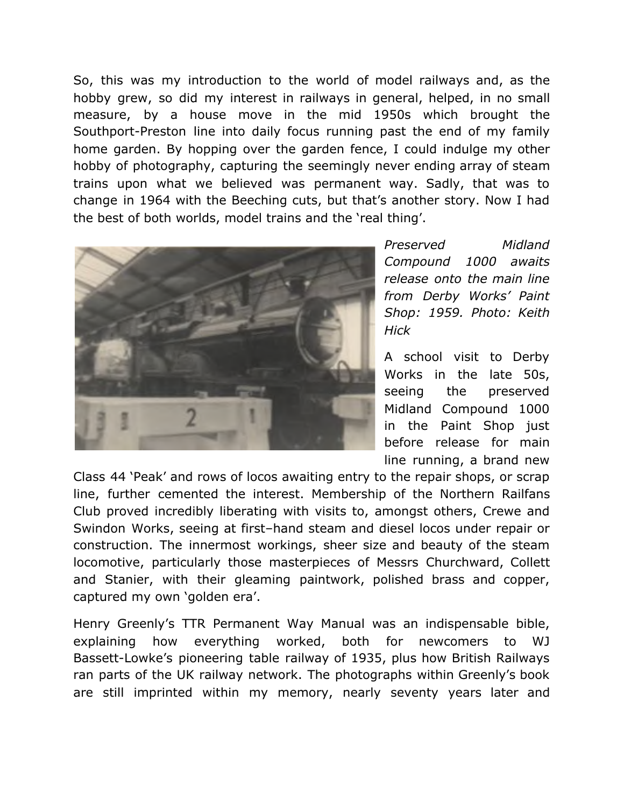So, this was my introduction to the world of model railways and, as the hobby grew, so did my interest in railways in general, helped, in no small measure, by a house move in the mid 1950s which brought the Southport-Preston line into daily focus running past the end of my family home garden. By hopping over the garden fence, I could indulge my other hobby of photography, capturing the seemingly never ending array of steam trains upon what we believed was permanent way. Sadly, that was to change in 1964 with the Beeching cuts, but that's another story. Now I had the best of both worlds, model trains and the 'real thing'.



*Preserved Midland Compound 1000 awaits release onto the main line from Derby Works' Paint Shop: 1959. Photo: Keith Hick*

A school visit to Derby Works in the late 50s, seeing the preserved Midland Compound 1000 in the Paint Shop just before release for main line running, a brand new

Class 44 'Peak' and rows of locos awaiting entry to the repair shops, or scrap line, further cemented the interest. Membership of the Northern Railfans Club proved incredibly liberating with visits to, amongst others, Crewe and Swindon Works, seeing at first–hand steam and diesel locos under repair or construction. The innermost workings, sheer size and beauty of the steam locomotive, particularly those masterpieces of Messrs Churchward, Collett and Stanier, with their gleaming paintwork, polished brass and copper, captured my own 'golden era'.

Henry Greenly's TTR Permanent Way Manual was an indispensable bible, explaining how everything worked, both for newcomers to WJ Bassett-Lowke's pioneering table railway of 1935, plus how British Railways ran parts of the UK railway network. The photographs within Greenly's book are still imprinted within my memory, nearly seventy years later and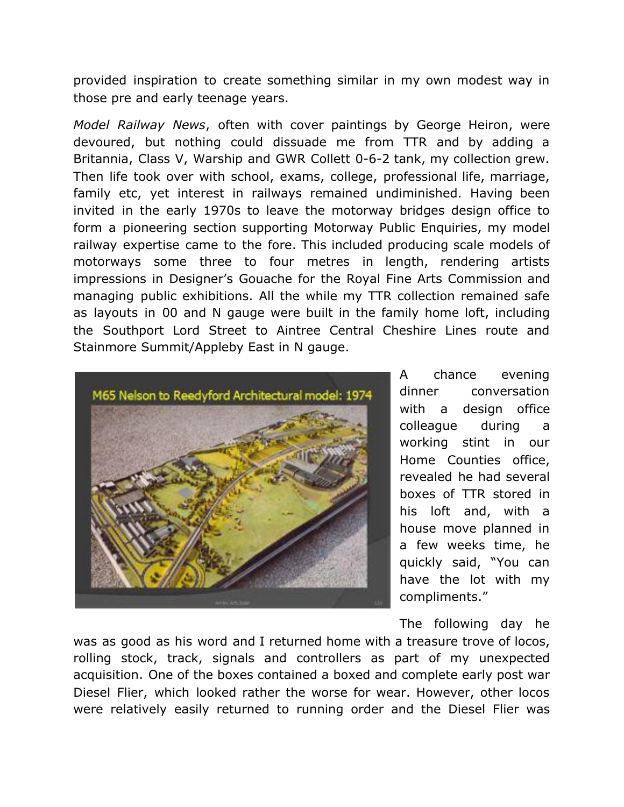provided inspiration to create something similar in my own modest way in those pre and early teenage years.

*Model Railway News*, often with cover paintings by George Heiron, were devoured, but nothing could dissuade me from TTR and by adding a Britannia, Class V, Warship and GWR Collett 0-6-2 tank, my collection grew. Then life took over with school, exams, college, professional life, marriage, family etc, yet interest in railways remained undiminished. Having been invited in the early 1970s to leave the motorway bridges design office to form a pioneering section supporting Motorway Public Enquiries, my model railway expertise came to the fore. This included producing scale models of motorways some three to four metres in length, rendering artists impressions in Designer's Gouache for the Royal Fine Arts Commission and managing public exhibitions. All the while my TTR collection remained safe as layouts in 00 and N gauge were built in the family home loft, including the Southport Lord Street to Aintree Central Cheshire Lines route and Stainmore Summit/Appleby East in N gauge.



A chance evening dinner conversation with a design office colleague during a working stint in our Home Counties office, revealed he had several boxes of TTR stored in his loft and, with a house move planned in a few weeks time, he quickly said, "You can have the lot with my compliments."

The following day he

was as good as his word and I returned home with a treasure trove of locos, rolling stock, track, signals and controllers as part of my unexpected acquisition. One of the boxes contained a boxed and complete early post war Diesel Flier, which looked rather the worse for wear. However, other locos were relatively easily returned to running order and the Diesel Flier was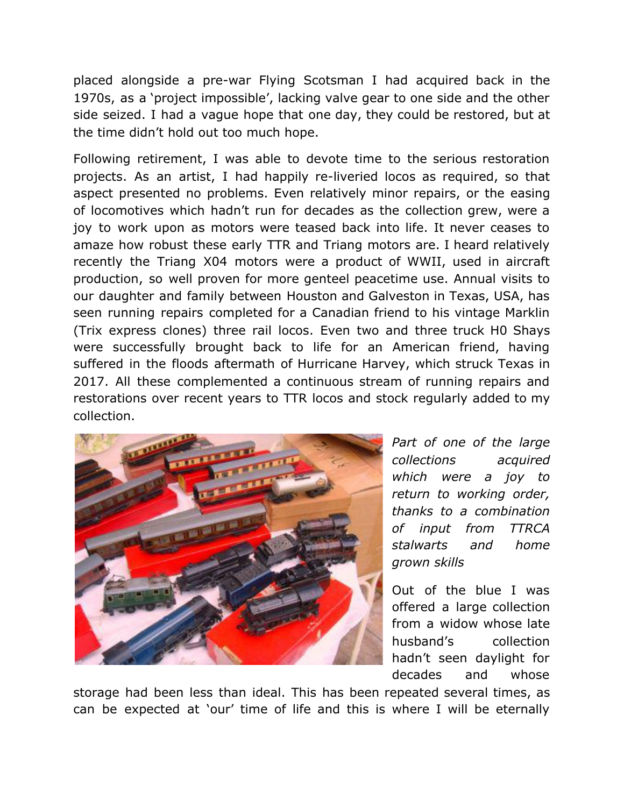placed alongside a pre-war Flying Scotsman I had acquired back in the 1970s, as a 'project impossible', lacking valve gear to one side and the other side seized. I had a vague hope that one day, they could be restored, but at the time didn't hold out too much hope.

Following retirement, I was able to devote time to the serious restoration projects. As an artist, I had happily re-liveried locos as required, so that aspect presented no problems. Even relatively minor repairs, or the easing of locomotives which hadn't run for decades as the collection grew, were a joy to work upon as motors were teased back into life. It never ceases to amaze how robust these early TTR and Triang motors are. I heard relatively recently the Triang X04 motors were a product of WWII, used in aircraft production, so well proven for more genteel peacetime use. Annual visits to our daughter and family between Houston and Galveston in Texas, USA, has seen running repairs completed for a Canadian friend to his vintage Marklin (Trix express clones) three rail locos. Even two and three truck H0 Shays were successfully brought back to life for an American friend, having suffered in the floods aftermath of Hurricane Harvey, which struck Texas in 2017. All these complemented a continuous stream of running repairs and restorations over recent years to TTR locos and stock regularly added to my collection.



*Part of one of the large collections acquired which were a joy to return to working order, thanks to a combination of input from TTRCA stalwarts and home grown skills*

Out of the blue I was offered a large collection from a widow whose late husband's collection hadn't seen daylight for decades and whose

storage had been less than ideal. This has been repeated several times, as can be expected at 'our' time of life and this is where I will be eternally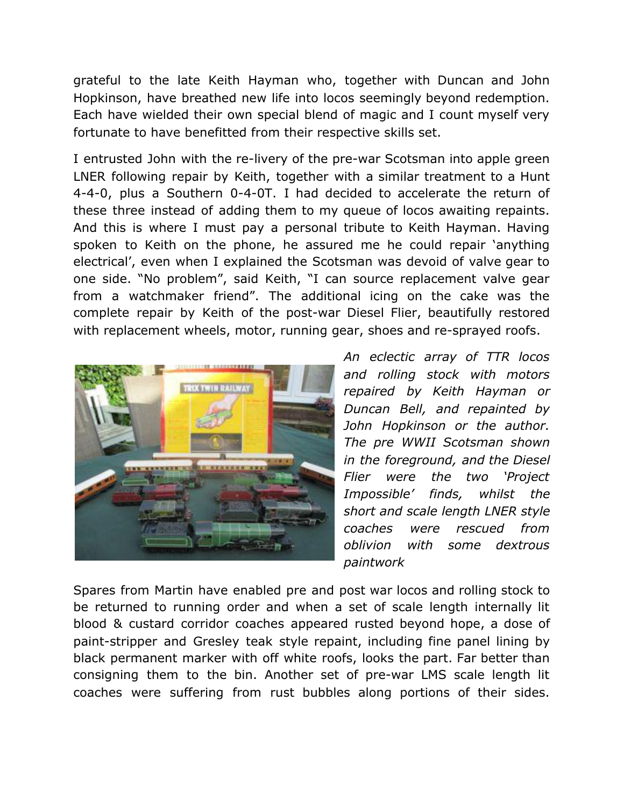grateful to the late Keith Hayman who, together with Duncan and John Hopkinson, have breathed new life into locos seemingly beyond redemption. Each have wielded their own special blend of magic and I count myself very fortunate to have benefitted from their respective skills set.

I entrusted John with the re-livery of the pre-war Scotsman into apple green LNER following repair by Keith, together with a similar treatment to a Hunt 4-4-0, plus a Southern 0-4-0T. I had decided to accelerate the return of these three instead of adding them to my queue of locos awaiting repaints. And this is where I must pay a personal tribute to Keith Hayman. Having spoken to Keith on the phone, he assured me he could repair 'anything electrical', even when I explained the Scotsman was devoid of valve gear to one side. "No problem", said Keith, "I can source replacement valve gear from a watchmaker friend". The additional icing on the cake was the complete repair by Keith of the post-war Diesel Flier, beautifully restored with replacement wheels, motor, running gear, shoes and re-sprayed roofs.



*An eclectic array of TTR locos and rolling stock with motors repaired by Keith Hayman or Duncan Bell, and repainted by John Hopkinson or the author. The pre WWII Scotsman shown in the foreground, and the Diesel Flier were the two 'Project Impossible' finds, whilst the short and scale length LNER style coaches were rescued from oblivion with some dextrous paintwork*

Spares from Martin have enabled pre and post war locos and rolling stock to be returned to running order and when a set of scale length internally lit blood & custard corridor coaches appeared rusted beyond hope, a dose of paint-stripper and Gresley teak style repaint, including fine panel lining by black permanent marker with off white roofs, looks the part. Far better than consigning them to the bin. Another set of pre-war LMS scale length lit coaches were suffering from rust bubbles along portions of their sides.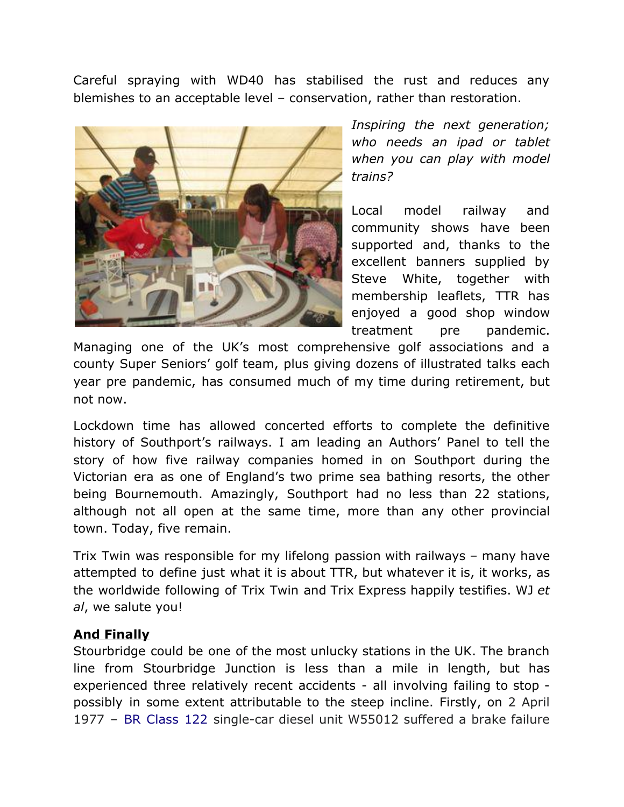Careful spraying with WD40 has stabilised the rust and reduces any blemishes to an acceptable level – conservation, rather than restoration.



*Inspiring the next generation; who needs an ipad or tablet when you can play with model trains?*

Local model railway and community shows have been supported and, thanks to the excellent banners supplied by Steve White, together with membership leaflets, TTR has enjoyed a good shop window treatment pre pandemic.

Managing one of the UK's most comprehensive golf associations and a county Super Seniors' golf team, plus giving dozens of illustrated talks each year pre pandemic, has consumed much of my time during retirement, but not now.

Lockdown time has allowed concerted efforts to complete the definitive history of Southport's railways. I am leading an Authors' Panel to tell the story of how five railway companies homed in on Southport during the Victorian era as one of England's two prime sea bathing resorts, the other being Bournemouth. Amazingly, Southport had no less than 22 stations, although not all open at the same time, more than any other provincial town. Today, five remain.

Trix Twin was responsible for my lifelong passion with railways – many have attempted to define just what it is about TTR, but whatever it is, it works, as the worldwide following of Trix Twin and Trix Express happily testifies. WJ *et al*, we salute you!

# **And Finally**

Stourbridge could be one of the most unlucky stations in the UK. The branch line from Stourbridge Junction is less than a mile in length, but has experienced three relatively recent accidents - all involving failing to stop possibly in some extent attributable to the steep incline. Firstly, on 2 April 1977 – BR [Class](https://en.wikipedia.org/wiki/British_Rail_Class_122) 122 single-car diesel unit W55012 suffered a brake failure